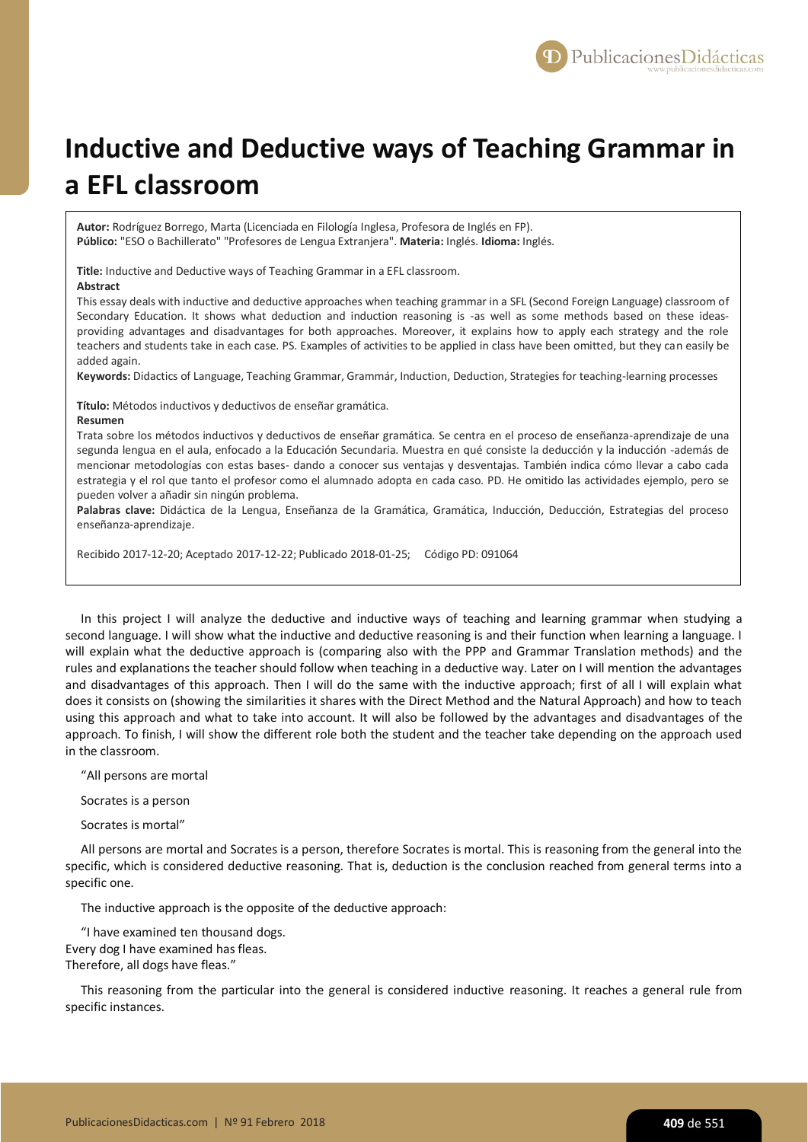

# **Inductive and Deductive ways of Teaching Grammar in a EFL classroom**

**Autor:** Rodríguez Borrego, Marta (Licenciada en Filología Inglesa, Profesora de Inglés en FP). **Público:** "ESO o Bachillerato" "Profesores de Lengua Extranjera". **Materia:** Inglés. **Idioma:** Inglés.

**Title:** Inductive and Deductive ways of Teaching Grammar in a EFL classroom.

**Abstract**

This essay deals with inductive and deductive approaches when teaching grammar in a SFL (Second Foreign Language) classroom of Secondary Education. It shows what deduction and induction reasoning is -as well as some methods based on these ideasproviding advantages and disadvantages for both approaches. Moreover, it explains how to apply each strategy and the role teachers and students take in each case. PS. Examples of activities to be applied in class have been omitted, but they can easily be added again.

**Keywords:** Didactics of Language, Teaching Grammar, Grammár, Induction, Deduction, Strategies for teaching-learning processes

**Título:** Métodos inductivos y deductivos de enseñar gramática.

## **Resumen**

Trata sobre los métodos inductivos y deductivos de enseñar gramática. Se centra en el proceso de enseñanza-aprendizaje de una segunda lengua en el aula, enfocado a la Educación Secundaria. Muestra en qué consiste la deducción y la inducción -además de mencionar metodologías con estas bases- dando a conocer sus ventajas y desventajas. También indica cómo llevar a cabo cada estrategia y el rol que tanto el profesor como el alumnado adopta en cada caso. PD. He omitido las actividades ejemplo, pero se pueden volver a añadir sin ningún problema.

Palabras clave: Didáctica de la Lengua, Enseñanza de la Gramática, Gramática, Inducción, Deducción, Estrategias del proceso enseñanza-aprendizaje.

Recibido 2017-12-20; Aceptado 2017-12-22; Publicado 2018-01-25; Código PD: 091064

In this project I will analyze the deductive and inductive ways of teaching and learning grammar when studying a second language. I will show what the inductive and deductive reasoning is and their function when learning a language. I will explain what the deductive approach is (comparing also with the PPP and Grammar Translation methods) and the rules and explanations the teacher should follow when teaching in a deductive way. Later on I will mention the advantages and disadvantages of this approach. Then I will do the same with the inductive approach; first of all I will explain what does it consists on (showing the similarities it shares with the Direct Method and the Natural Approach) and how to teach using this approach and what to take into account. It will also be followed by the advantages and disadvantages of the approach. To finish, I will show the different role both the student and the teacher take depending on the approach used in the classroom.

"All persons are mortal

Socrates is a person

Socrates is mortal"

All persons are mortal and Socrates is a person, therefore Socrates is mortal. This is reasoning from the general into the specific, which is considered deductive reasoning. That is, deduction is the conclusion reached from general terms into a specific one.

The inductive approach is the opposite of the deductive approach:

"I have examined ten thousand dogs. Every dog I have examined has fleas. Therefore, all dogs have fleas."

This reasoning from the particular into the general is considered inductive reasoning. It reaches a general rule from specific instances.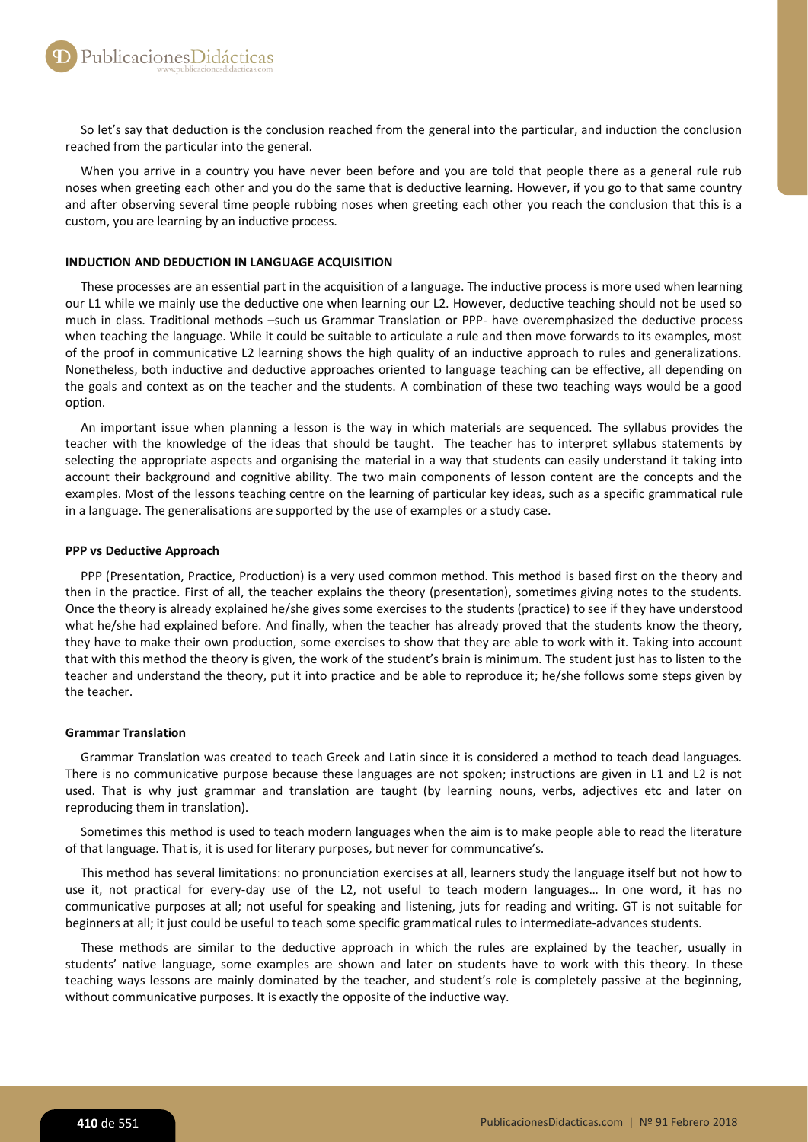So let's say that deduction is the conclusion reached from the general into the particular, and induction the conclusion reached from the particular into the general.

When you arrive in a country you have never been before and you are told that people there as a general rule rub noses when greeting each other and you do the same that is deductive learning. However, if you go to that same country and after observing several time people rubbing noses when greeting each other you reach the conclusion that this is a custom, you are learning by an inductive process.

## **INDUCTION AND DEDUCTION IN LANGUAGE ACQUISITION**

These processes are an essential part in the acquisition of a language. The inductive process is more used when learning our L1 while we mainly use the deductive one when learning our L2. However, deductive teaching should not be used so much in class. Traditional methods –such us Grammar Translation or PPP- have overemphasized the deductive process when teaching the language. While it could be suitable to articulate a rule and then move forwards to its examples, most of the proof in communicative L2 learning shows the high quality of an inductive approach to rules and generalizations. Nonetheless, both inductive and deductive approaches oriented to language teaching can be effective, all depending on the goals and context as on the teacher and the students. A combination of these two teaching ways would be a good option.

An important issue when planning a lesson is the way in which materials are sequenced. The syllabus provides the teacher with the knowledge of the ideas that should be taught. The teacher has to interpret syllabus statements by selecting the appropriate aspects and organising the material in a way that students can easily understand it taking into account their background and cognitive ability. The two main components of lesson content are the concepts and the examples. Most of the lessons teaching centre on the learning of particular key ideas, such as a specific grammatical rule in a language. The generalisations are supported by the use of examples or a study case.

## **PPP vs Deductive Approach**

PPP (Presentation, Practice, Production) is a very used common method. This method is based first on the theory and then in the practice. First of all, the teacher explains the theory (presentation), sometimes giving notes to the students. Once the theory is already explained he/she gives some exercises to the students (practice) to see if they have understood what he/she had explained before. And finally, when the teacher has already proved that the students know the theory, they have to make their own production, some exercises to show that they are able to work with it. Taking into account that with this method the theory is given, the work of the student's brain is minimum. The student just has to listen to the teacher and understand the theory, put it into practice and be able to reproduce it; he/she follows some steps given by the teacher.

## **Grammar Translation**

Grammar Translation was created to teach Greek and Latin since it is considered a method to teach dead languages. There is no communicative purpose because these languages are not spoken; instructions are given in L1 and L2 is not used. That is why just grammar and translation are taught (by learning nouns, verbs, adjectives etc and later on reproducing them in translation).

Sometimes this method is used to teach modern languages when the aim is to make people able to read the literature of that language. That is, it is used for literary purposes, but never for communcative's.

This method has several limitations: no pronunciation exercises at all, learners study the language itself but not how to use it, not practical for every-day use of the L2, not useful to teach modern languages… In one word, it has no communicative purposes at all; not useful for speaking and listening, juts for reading and writing. GT is not suitable for beginners at all; it just could be useful to teach some specific grammatical rules to intermediate-advances students.

These methods are similar to the deductive approach in which the rules are explained by the teacher, usually in students' native language, some examples are shown and later on students have to work with this theory. In these teaching ways lessons are mainly dominated by the teacher, and student's role is completely passive at the beginning, without communicative purposes. It is exactly the opposite of the inductive way.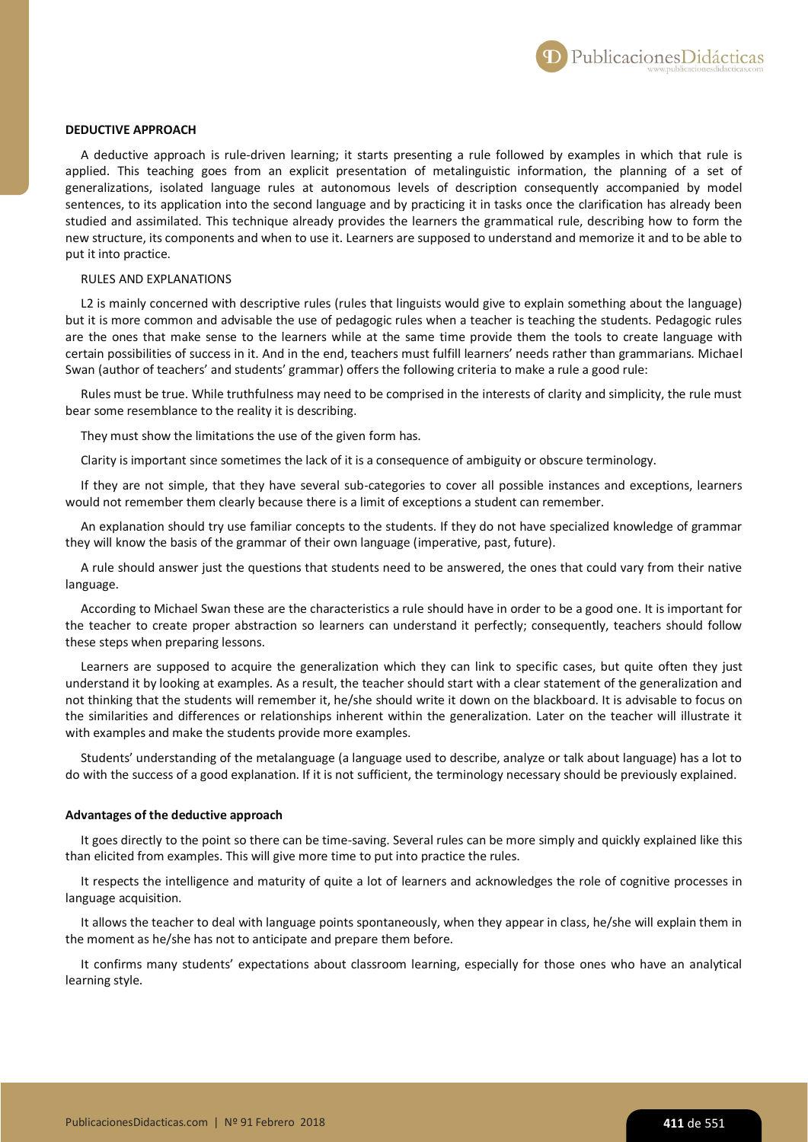Publicaciones Didácticas

## **DEDUCTIVE APPROACH**

A deductive approach is rule-driven learning; it starts presenting a rule followed by examples in which that rule is applied. This teaching goes from an explicit presentation of metalinguistic information, the planning of a set of generalizations, isolated language rules at autonomous levels of description consequently accompanied by model sentences, to its application into the second language and by practicing it in tasks once the clarification has already been studied and assimilated. This technique already provides the learners the grammatical rule, describing how to form the new structure, its components and when to use it. Learners are supposed to understand and memorize it and to be able to put it into practice.

# RULES AND EXPLANATIONS

L2 is mainly concerned with descriptive rules (rules that linguists would give to explain something about the language) but it is more common and advisable the use of pedagogic rules when a teacher is teaching the students. Pedagogic rules are the ones that make sense to the learners while at the same time provide them the tools to create language with certain possibilities of success in it. And in the end, teachers must fulfill learners' needs rather than grammarians. Michael Swan (author of teachers' and students' grammar) offers the following criteria to make a rule a good rule:

Rules must be true. While truthfulness may need to be comprised in the interests of clarity and simplicity, the rule must bear some resemblance to the reality it is describing.

They must show the limitations the use of the given form has.

Clarity is important since sometimes the lack of it is a consequence of ambiguity or obscure terminology.

If they are not simple, that they have several sub-categories to cover all possible instances and exceptions, learners would not remember them clearly because there is a limit of exceptions a student can remember.

An explanation should try use familiar concepts to the students. If they do not have specialized knowledge of grammar they will know the basis of the grammar of their own language (imperative, past, future).

A rule should answer just the questions that students need to be answered, the ones that could vary from their native language.

According to Michael Swan these are the characteristics a rule should have in order to be a good one. It is important for the teacher to create proper abstraction so learners can understand it perfectly; consequently, teachers should follow these steps when preparing lessons.

Learners are supposed to acquire the generalization which they can link to specific cases, but quite often they just understand it by looking at examples. As a result, the teacher should start with a clear statement of the generalization and not thinking that the students will remember it, he/she should write it down on the blackboard. It is advisable to focus on the similarities and differences or relationships inherent within the generalization. Later on the teacher will illustrate it with examples and make the students provide more examples.

Students' understanding of the metalanguage (a language used to describe, analyze or talk about language) has a lot to do with the success of a good explanation. If it is not sufficient, the terminology necessary should be previously explained.

#### **Advantages of the deductive approach**

It goes directly to the point so there can be time-saving. Several rules can be more simply and quickly explained like this than elicited from examples. This will give more time to put into practice the rules.

It respects the intelligence and maturity of quite a lot of learners and acknowledges the role of cognitive processes in language acquisition.

It allows the teacher to deal with language points spontaneously, when they appear in class, he/she will explain them in the moment as he/she has not to anticipate and prepare them before.

It confirms many students' expectations about classroom learning, especially for those ones who have an analytical learning style.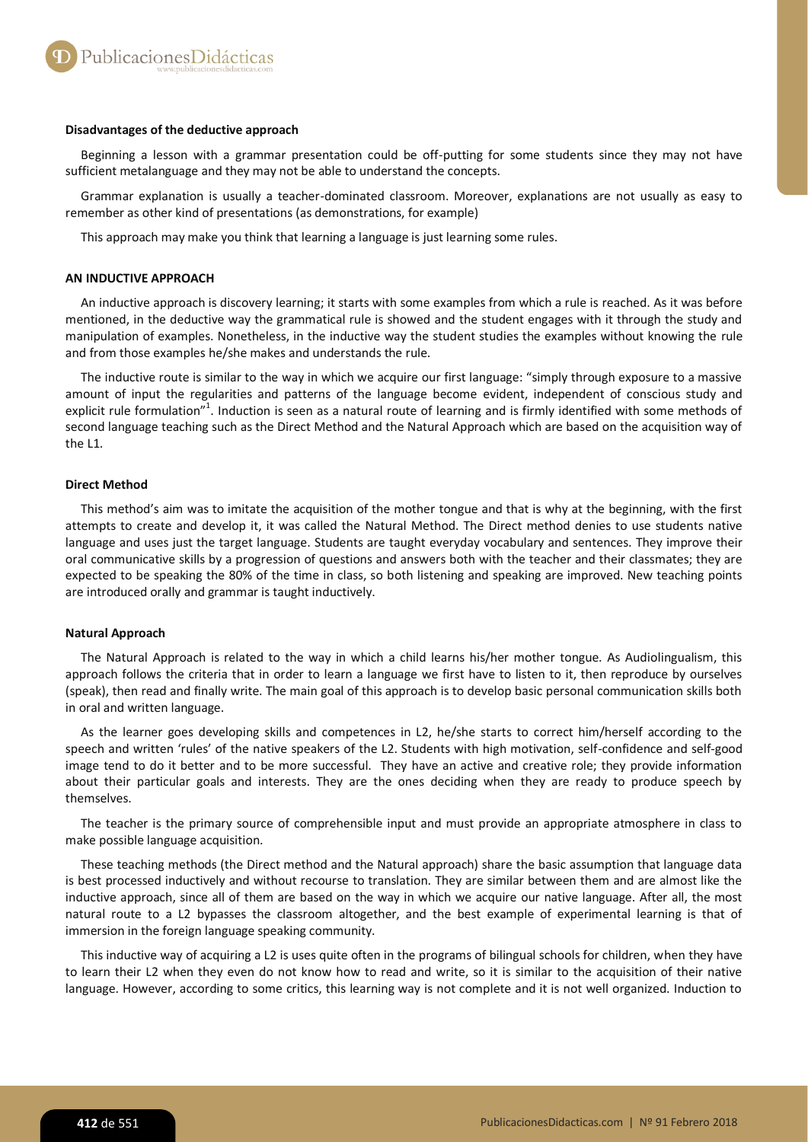#### **Disadvantages of the deductive approach**

Beginning a lesson with a grammar presentation could be off-putting for some students since they may not have sufficient metalanguage and they may not be able to understand the concepts.

Grammar explanation is usually a teacher-dominated classroom. Moreover, explanations are not usually as easy to remember as other kind of presentations (as demonstrations, for example)

This approach may make you think that learning a language is just learning some rules.

## **AN INDUCTIVE APPROACH**

An inductive approach is discovery learning; it starts with some examples from which a rule is reached. As it was before mentioned, in the deductive way the grammatical rule is showed and the student engages with it through the study and manipulation of examples. Nonetheless, in the inductive way the student studies the examples without knowing the rule and from those examples he/she makes and understands the rule.

The inductive route is similar to the way in which we acquire our first language: "simply through exposure to a massive amount of input the regularities and patterns of the language become evident, independent of conscious study and explicit rule formulation"<sup>1</sup>. Induction is seen as a natural route of learning and is firmly identified with some methods of second language teaching such as the Direct Method and the Natural Approach which are based on the acquisition way of the L1.

# **Direct Method**

This method's aim was to imitate the acquisition of the mother tongue and that is why at the beginning, with the first attempts to create and develop it, it was called the Natural Method. The Direct method denies to use students native language and uses just the target language. Students are taught everyday vocabulary and sentences. They improve their oral communicative skills by a progression of questions and answers both with the teacher and their classmates; they are expected to be speaking the 80% of the time in class, so both listening and speaking are improved. New teaching points are introduced orally and grammar is taught inductively.

#### **Natural Approach**

The Natural Approach is related to the way in which a child learns his/her mother tongue. As Audiolingualism, this approach follows the criteria that in order to learn a language we first have to listen to it, then reproduce by ourselves (speak), then read and finally write. The main goal of this approach is to develop basic personal communication skills both in oral and written language.

As the learner goes developing skills and competences in L2, he/she starts to correct him/herself according to the speech and written 'rules' of the native speakers of the L2. Students with high motivation, self-confidence and self-good image tend to do it better and to be more successful. They have an active and creative role; they provide information about their particular goals and interests. They are the ones deciding when they are ready to produce speech by themselves.

The teacher is the primary source of comprehensible input and must provide an appropriate atmosphere in class to make possible language acquisition.

These teaching methods (the Direct method and the Natural approach) share the basic assumption that language data is best processed inductively and without recourse to translation. They are similar between them and are almost like the inductive approach, since all of them are based on the way in which we acquire our native language. After all, the most natural route to a L2 bypasses the classroom altogether, and the best example of experimental learning is that of immersion in the foreign language speaking community.

This inductive way of acquiring a L2 is uses quite often in the programs of bilingual schools for children, when they have to learn their L2 when they even do not know how to read and write, so it is similar to the acquisition of their native language. However, according to some critics, this learning way is not complete and it is not well organized. Induction to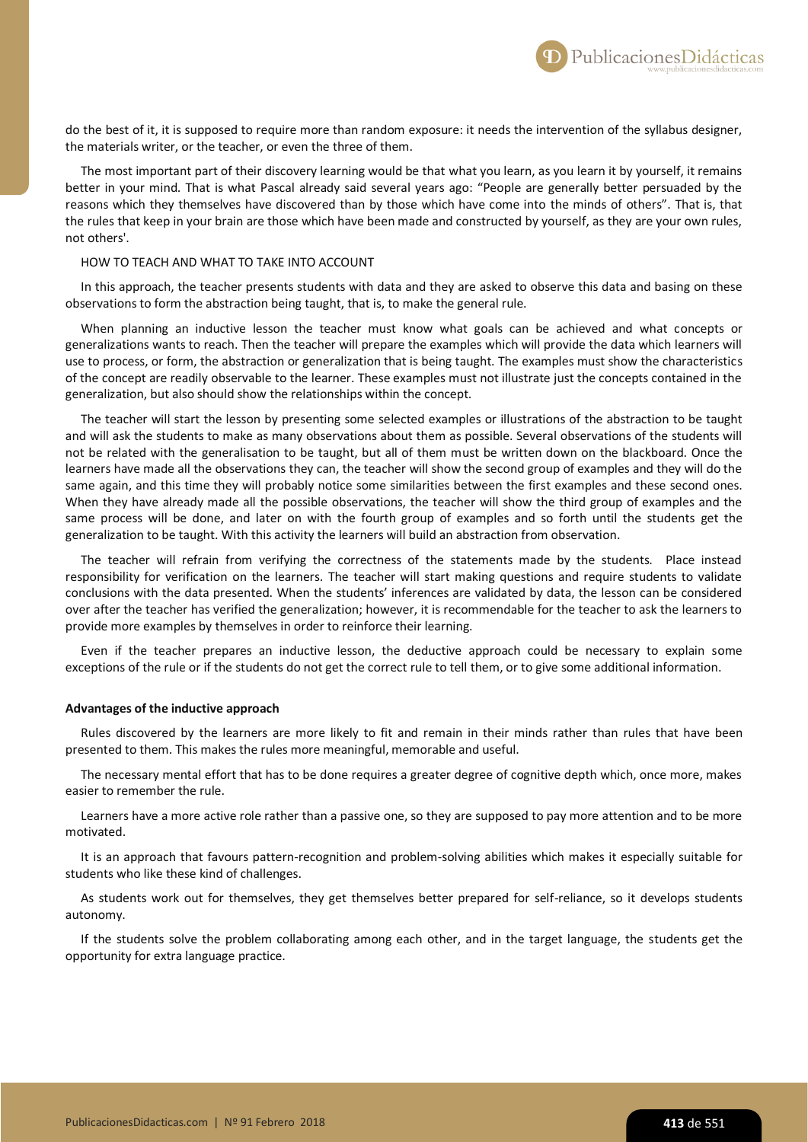do the best of it, it is supposed to require more than random exposure: it needs the intervention of the syllabus designer, the materials writer, or the teacher, or even the three of them.

The most important part of their discovery learning would be that what you learn, as you learn it by yourself, it remains better in your mind. That is what Pascal already said several years ago: "People are generally better persuaded by the reasons which they themselves have discovered than by those which have come into the minds of others". That is, that the rules that keep in your brain are those which have been made and constructed by yourself, as they are your own rules, not others'.

#### HOW TO TEACH AND WHAT TO TAKE INTO ACCOUNT

In this approach, the teacher presents students with data and they are asked to observe this data and basing on these observations to form the abstraction being taught, that is, to make the general rule.

When planning an inductive lesson the teacher must know what goals can be achieved and what concepts or generalizations wants to reach. Then the teacher will prepare the examples which will provide the data which learners will use to process, or form, the abstraction or generalization that is being taught. The examples must show the characteristics of the concept are readily observable to the learner. These examples must not illustrate just the concepts contained in the generalization, but also should show the relationships within the concept.

The teacher will start the lesson by presenting some selected examples or illustrations of the abstraction to be taught and will ask the students to make as many observations about them as possible. Several observations of the students will not be related with the generalisation to be taught, but all of them must be written down on the blackboard. Once the learners have made all the observations they can, the teacher will show the second group of examples and they will do the same again, and this time they will probably notice some similarities between the first examples and these second ones. When they have already made all the possible observations, the teacher will show the third group of examples and the same process will be done, and later on with the fourth group of examples and so forth until the students get the generalization to be taught. With this activity the learners will build an abstraction from observation.

The teacher will refrain from verifying the correctness of the statements made by the students. Place instead responsibility for verification on the learners. The teacher will start making questions and require students to validate conclusions with the data presented. When the students' inferences are validated by data, the lesson can be considered over after the teacher has verified the generalization; however, it is recommendable for the teacher to ask the learners to provide more examples by themselves in order to reinforce their learning.

Even if the teacher prepares an inductive lesson, the deductive approach could be necessary to explain some exceptions of the rule or if the students do not get the correct rule to tell them, or to give some additional information.

#### **Advantages of the inductive approach**

Rules discovered by the learners are more likely to fit and remain in their minds rather than rules that have been presented to them. This makes the rules more meaningful, memorable and useful.

The necessary mental effort that has to be done requires a greater degree of cognitive depth which, once more, makes easier to remember the rule.

Learners have a more active role rather than a passive one, so they are supposed to pay more attention and to be more motivated.

It is an approach that favours pattern-recognition and problem-solving abilities which makes it especially suitable for students who like these kind of challenges.

As students work out for themselves, they get themselves better prepared for self-reliance, so it develops students autonomy.

If the students solve the problem collaborating among each other, and in the target language, the students get the opportunity for extra language practice.

PublicacionesDidácticas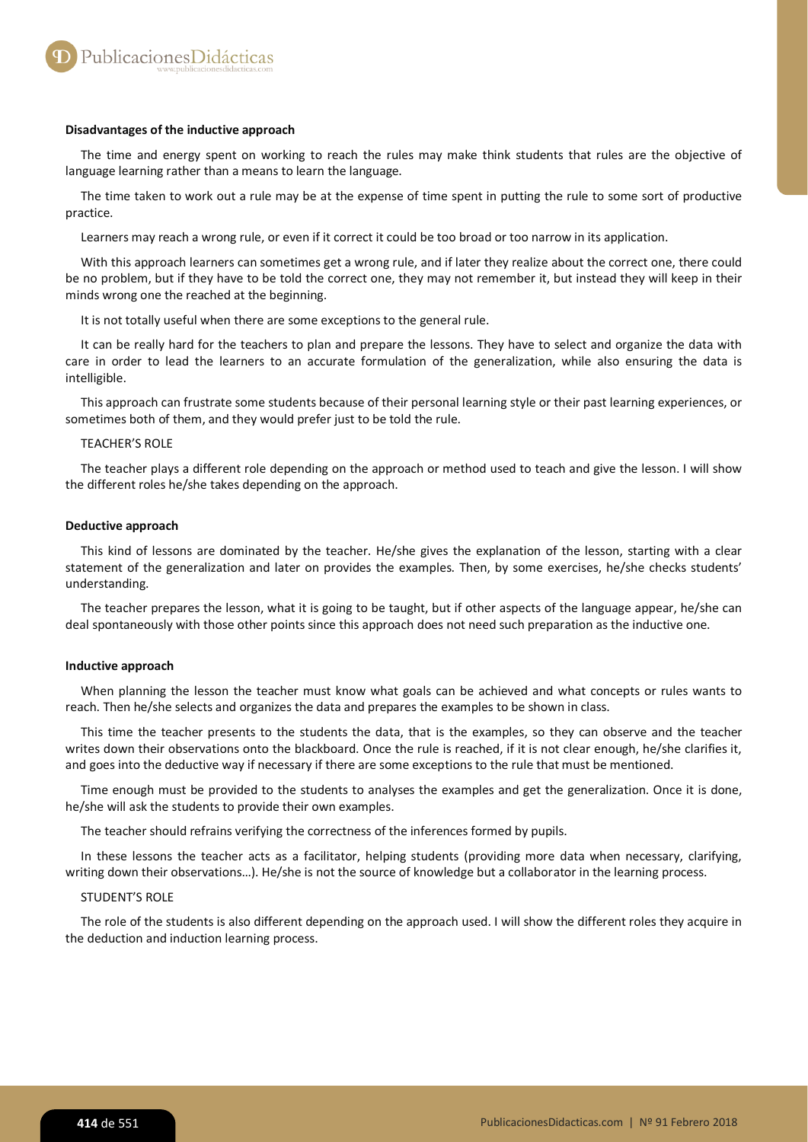### **Disadvantages of the inductive approach**

The time and energy spent on working to reach the rules may make think students that rules are the objective of language learning rather than a means to learn the language.

The time taken to work out a rule may be at the expense of time spent in putting the rule to some sort of productive practice.

Learners may reach a wrong rule, or even if it correct it could be too broad or too narrow in its application.

With this approach learners can sometimes get a wrong rule, and if later they realize about the correct one, there could be no problem, but if they have to be told the correct one, they may not remember it, but instead they will keep in their minds wrong one the reached at the beginning.

It is not totally useful when there are some exceptions to the general rule.

It can be really hard for the teachers to plan and prepare the lessons. They have to select and organize the data with care in order to lead the learners to an accurate formulation of the generalization, while also ensuring the data is intelligible.

This approach can frustrate some students because of their personal learning style or their past learning experiences, or sometimes both of them, and they would prefer just to be told the rule.

## TEACHER'S ROLE

The teacher plays a different role depending on the approach or method used to teach and give the lesson. I will show the different roles he/she takes depending on the approach.

## **Deductive approach**

This kind of lessons are dominated by the teacher. He/she gives the explanation of the lesson, starting with a clear statement of the generalization and later on provides the examples. Then, by some exercises, he/she checks students' understanding.

The teacher prepares the lesson, what it is going to be taught, but if other aspects of the language appear, he/she can deal spontaneously with those other points since this approach does not need such preparation as the inductive one.

#### **Inductive approach**

When planning the lesson the teacher must know what goals can be achieved and what concepts or rules wants to reach. Then he/she selects and organizes the data and prepares the examples to be shown in class.

This time the teacher presents to the students the data, that is the examples, so they can observe and the teacher writes down their observations onto the blackboard. Once the rule is reached, if it is not clear enough, he/she clarifies it, and goes into the deductive way if necessary if there are some exceptions to the rule that must be mentioned.

Time enough must be provided to the students to analyses the examples and get the generalization. Once it is done, he/she will ask the students to provide their own examples.

The teacher should refrains verifying the correctness of the inferences formed by pupils.

In these lessons the teacher acts as a facilitator, helping students (providing more data when necessary, clarifying, writing down their observations...). He/she is not the source of knowledge but a collaborator in the learning process.

#### STUDENT'S ROLE

The role of the students is also different depending on the approach used. I will show the different roles they acquire in the deduction and induction learning process.